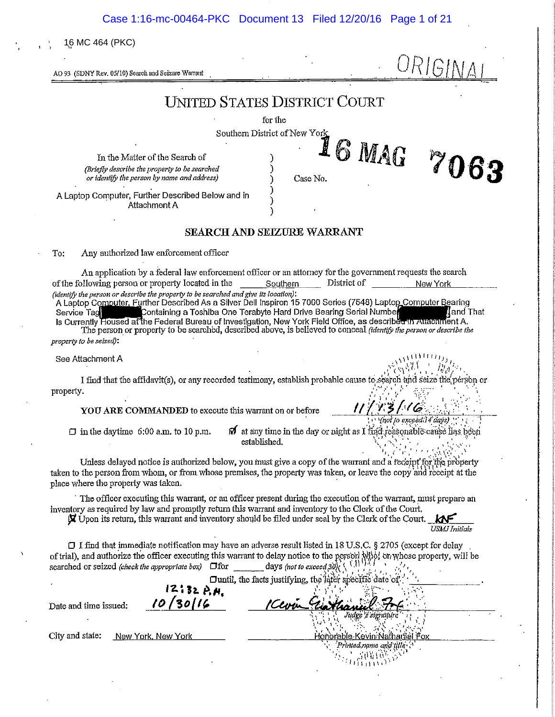Case 1:16-mc-00464-PKC Document 13 Filed 12/20/16 Page 1 of 21

16 MC 464 (PKC)

URIGINA AO 93 (SDNY Rev. 05/10) Search and Seizure Warrant **UNITED STATES DISTRICT COURT** for the Southern District of New York 6 MAG 7063 J In the Matter of the Search of (Briefly describe the property to be searched or identify the person by name and address) Case No. A Laptop Computer, Further Described Below and in Attachment A SEARCH AND SEIZURE WARRANT To: Any authorized law enforcement officer An application by a federal law enforcement officer or an attorney for the government requests the search of the following person or property located in the Southern District of New York (identify the person or describe the property to be searched and give its location): A Laptop Computer, Further Described As a Silver Dell Inspiron 15 7000 Series (7548) Laptop Computer Bearing Service Tag Containing a Toshiba One Terabyte Hard Drive Bearing Serial Number (Jan Jand)<br>Is Currently Housed at the Federal Bureau of Investigation, New York Field Office, as described in Auachment A and That The person or property to be searched, described above, is believed to conceal *(identify the person or describe the* property to be seized): See Attachment A I find that the affidavit(s), or any recorded testimony, establish probable cause to search and seize the person or property. りろんくん YOU ARE COMMANDED to execute this warrant on or before (not to exceedil 4 days)  $\Box$  in the daytime 6:00 a.m. to 10 p.m.  $\mathbf{\Omega}$  at any time in the day or night as I find reasonable cause lias been established. Unless delayed notice is authorized below, you must give a copy of the warrant and a receipt for the property taken to the person from whom, or from whose premises, the property was taken, or leave the copy and receipt at the place where the property was taken. The officer executing this warrant, or an officer present during the execution of the warrant, must prepare an inventory as required by law and promptly return this warrant and inventory to the Clerk of the Court. Upon its return, this warrant and inventory should be filed under seal by the Clerk of the Court. USMJ Initials  $\Box$  I find that immediate notification may have an adverse result listed in 18 U.S.C. § 2705 (except for delay of trial), and authorize the officer executing this warrant to delay notice to the person who is property, will be days (not to exceed 30) $(5, 1)$ searched or seized (check the appropriate box)  $\Box$  for Duntil, the facts justifying, the later specific date of  $12:32 \nA +$ 30116 Date and time issued: City and state: New York, New York onorable Kevin Nathariiel Printed name and title 宗国信息 1511151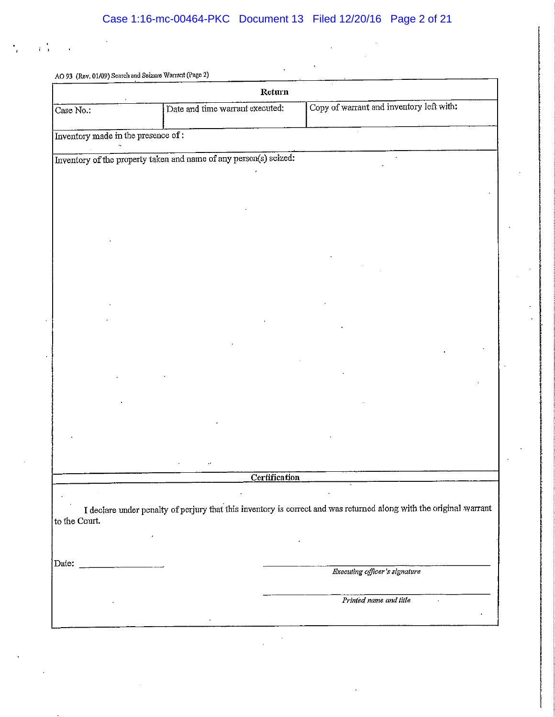i i

 $\sim 10^{-10}$ 

 $\ddot{\phantom{a}}$ 

|                                                           | Return                                                            |                                                                                                                    |
|-----------------------------------------------------------|-------------------------------------------------------------------|--------------------------------------------------------------------------------------------------------------------|
| Case No.:                                                 | Date and time warrant executed:                                   | Copy of warrant and inventory left with:                                                                           |
| Inventory made in the presence of :                       |                                                                   |                                                                                                                    |
|                                                           |                                                                   |                                                                                                                    |
|                                                           | Inventory of the property taken and name of any person(s) seized: |                                                                                                                    |
|                                                           |                                                                   |                                                                                                                    |
|                                                           |                                                                   |                                                                                                                    |
|                                                           |                                                                   |                                                                                                                    |
|                                                           |                                                                   |                                                                                                                    |
|                                                           |                                                                   |                                                                                                                    |
|                                                           |                                                                   |                                                                                                                    |
|                                                           |                                                                   |                                                                                                                    |
|                                                           |                                                                   |                                                                                                                    |
|                                                           |                                                                   |                                                                                                                    |
|                                                           |                                                                   |                                                                                                                    |
|                                                           |                                                                   |                                                                                                                    |
|                                                           |                                                                   |                                                                                                                    |
|                                                           |                                                                   |                                                                                                                    |
|                                                           |                                                                   |                                                                                                                    |
|                                                           |                                                                   |                                                                                                                    |
|                                                           |                                                                   |                                                                                                                    |
|                                                           |                                                                   |                                                                                                                    |
|                                                           |                                                                   |                                                                                                                    |
|                                                           |                                                                   |                                                                                                                    |
|                                                           | Certification                                                     |                                                                                                                    |
|                                                           |                                                                   |                                                                                                                    |
|                                                           |                                                                   | I declare under penalty of perjury that this inventory is correct and was returned along with the original warrant |
| to the Court.                                             |                                                                   |                                                                                                                    |
|                                                           |                                                                   |                                                                                                                    |
|                                                           |                                                                   |                                                                                                                    |
| Date:<br>and the company of the company of the company of |                                                                   |                                                                                                                    |
|                                                           |                                                                   | Executing officer's signature                                                                                      |
|                                                           |                                                                   | Printed name and title                                                                                             |
|                                                           |                                                                   |                                                                                                                    |
|                                                           |                                                                   |                                                                                                                    |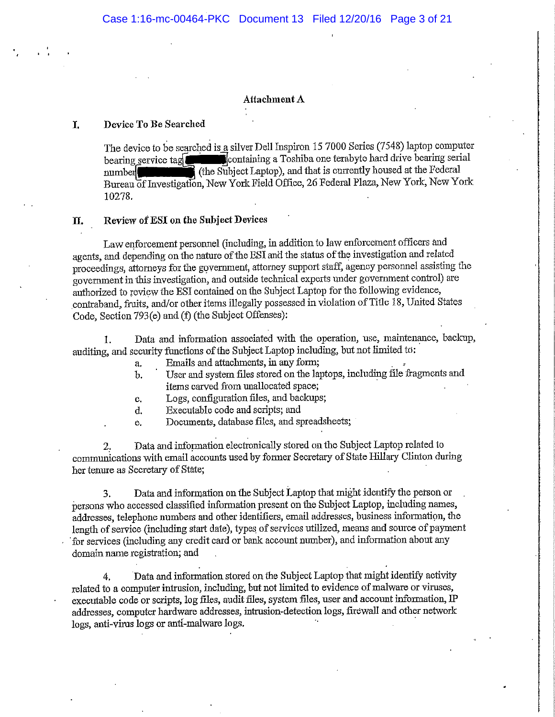# **Attachment A**

#### I. Device To Be Searched

The device to be searched is a silver Dell Inspiron 15 7000 Series (7548) laptop computer containing a Toshiba one terabyte hard drive bearing serial bearing service tag (the Subject Laptop), and that is currently housed at the Federal  $number$ Bureau of Investigation, New York Field Office, 26 Federal Plaza, New York, New York 10278.

### Review of ESI on the Subject Devices Π.

Law enforcement personnel (including, in addition to law enforcement officers and agents, and depending on the nature of the ESI and the status of the investigation and related proceedings, attorneys for the government, attorney support staff, agency personnel assisting the government in this investigation, and outside technical experts under government control) are authorized to review the ESI contained on the Subject Laptop for the following evidence, contraband, fruits, and/or other items illegally possessed in violation of Title 18, United States Code, Section 793(e) and (f) (the Subject Offenses):

Data and information associated with the operation, use, maintenance, backup,  $1<sub>1</sub>$ auditing, and security functions of the Subject Laptop including, but not limited to:

Emails and attachments, in any form: a,

- User and system files stored on the laptops, including file fragments and  $<sub>b</sub>$ </sub> items carved from unallocated space;
- Logs, configuration files, and backups; c.
- Executable code and scripts; and d.
- Documents, database files, and spreadsheets; e.

Data and information electronically stored on the Subject Laptop related to communications with email accounts used by former Secretary of State Hillary Clinton during her tenure as Secretary of State;

Data and information on the Subject Laptop that might identify the person or 3. persons who accessed classified information present on the Subject Laptop, including names, addresses, telephone numbers and other identifiers, email addresses, business information, the length of service (including start date), types of services utilized, means and source of payment for services (including any credit card or bank account number), and information about any domain name registration; and

Data and information stored on the Subject Laptop that might identify activity 4. related to a computer intrusion, including, but not limited to evidence of malware or viruses, executable code or scripts, log files, audit files, system files, user and account information, IP addresses, computer hardware addresses, intrusion-detection logs, firewall and other network logs, anti-virus logs or anti-malware logs.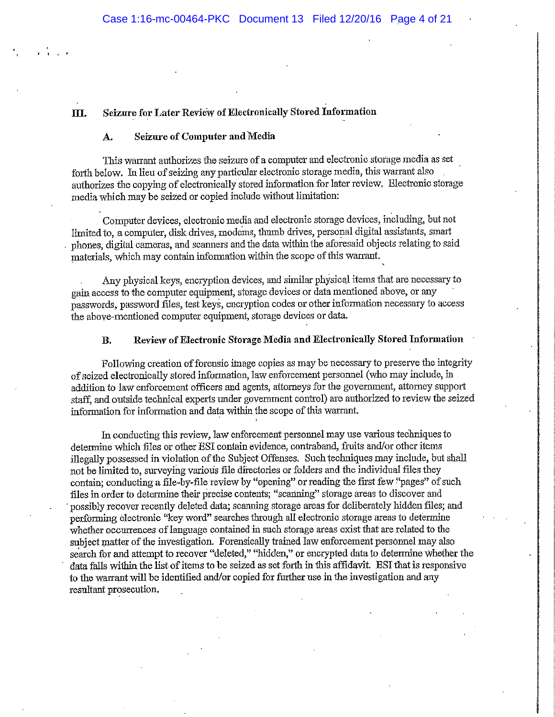### Seizure for Later Review of Electronically Stored Information III.

### Seizure of Computer and Media A.

This warrant authorizes the seizure of a computer and electronic storage media as set forth below. In lieu of seizing any particular electronic storage media, this warrant also authorizes the copying of electronically stored information for later review. Electronic storage media which may be seized or copied include without limitation:

Computer devices, electronic media and electronic storage devices, including, but not limited to, a computer, disk drives, modems, thumb drives, personal digital assistants, smart phones, digital cameras, and scanners and the data within the aforesaid objects relating to said materials, which may contain information within the scope of this warrant.

Any physical keys, encryption devices, and similar physical items that are necessary to gain access to the computer equipment, storage devices or data mentioned above, or any passwords, password files, test keys, encryption codes or other information necessary to access the above-mentioned computer equipment, storage devices or data.

### Review of Electronic Storage Media and Electronically Stored Information **B.**

Following creation of forensic image copies as may be necessary to preserve the integrity of seized electronically stored information, law enforcement personnel (who may include, in addition to law enforcement officers and agents, attorneys for the government, attorney support staff, and outside technical experts under government control) are authorized to review the seized information for information and data within the scope of this warrant.

In conducting this review, law enforcement personnel may use various techniques to determine which files or other ESI contain evidence, contraband, fruits and/or other items illegally possessed in violation of the Subject Offenses. Such techniques may include, but shall not be limited to, surveying various file directories or folders and the individual files they contain; conducting a file-by-file review by "opening" or reading the first few "pages" of such files in order to determine their precise contents; "scanning" storage areas to discover and possibly recover recently deleted data; scanning storage areas for deliberately hidden files; and performing electronic "key word" searches through all electronic storage areas to determine whether occurrences of language contained in such storage areas exist that are related to the subject matter of the investigation. Forensically trained law enforcement personnel may also search for and attempt to recover "deleted," "hidden," or encrypted data to determine whether the data falls within the list of items to be seized as set forth in this affidavit. ESI that is responsive to the warrant will be identified and/or copied for further use in the investigation and any resultant prosecution.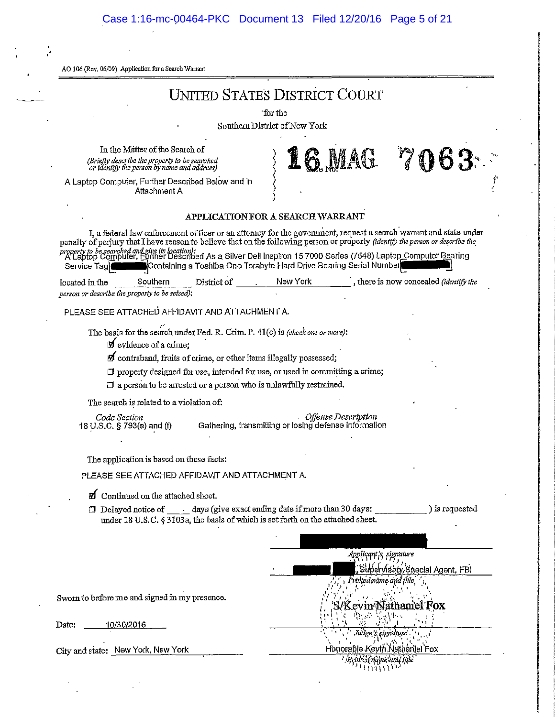# Case 1:16-mc-00464-PKC Document 13 Filed 12/20/16 Page 5 of 21

AO 106 (Rey. 06/09) Application for a Search Warrant

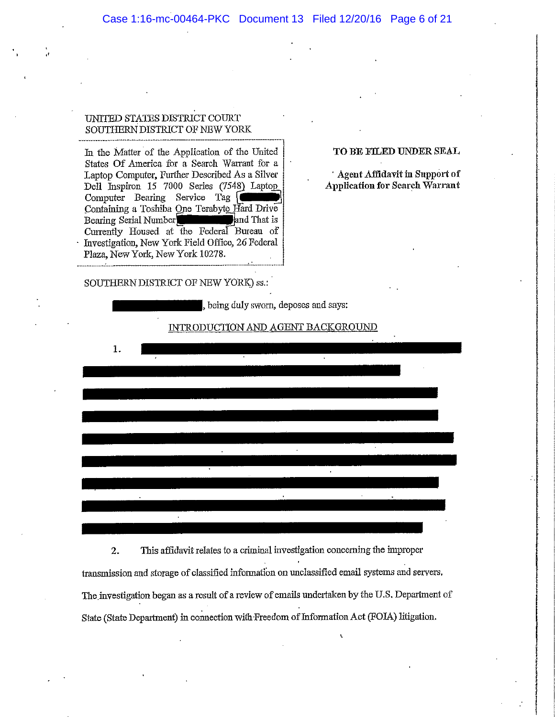# UNITED STATES DISTRICT COURT SOUTHERN DISTRICT OF NEW YORK

In the Matter of the Application of the United States Of America for a Search Warrant for a Laptop Computer, Further Described As a Silver Dell Inspiron 15 7000 Series (7548) Laptop Computer Bearing Service Tag Containing a Toshiba One Terabyte Hard Drive Bearing Serial Number and That is Currently Housed at the Federal Bureau of Investigation, New York Field Office, 26 Federal Plaza, New York, New York 10278.

# SOUTHERN DISTRICT OF NEW YORK) ss.:

# TO BE FILED UNDER SEAL

Agent Affidavit in Support of **Application for Search Warrant** 

|    |  | , being duly sworn, deposes and says: |  |  |  |
|----|--|---------------------------------------|--|--|--|
|    |  | INTRODUCTION AND AGENT BACKGROUND     |  |  |  |
| 1. |  |                                       |  |  |  |
|    |  |                                       |  |  |  |
|    |  |                                       |  |  |  |
|    |  |                                       |  |  |  |
|    |  |                                       |  |  |  |
|    |  |                                       |  |  |  |
|    |  |                                       |  |  |  |
|    |  |                                       |  |  |  |
|    |  |                                       |  |  |  |

This affidavit relates to a criminal investigation concerning the improper  $2.$ transmission and storage of classified information on unclassified email systems and servers. The investigation began as a result of a review of emails undertaken by the U.S. Department of State (State Department) in connection with Freedom of Information Act (FOIA) litigation.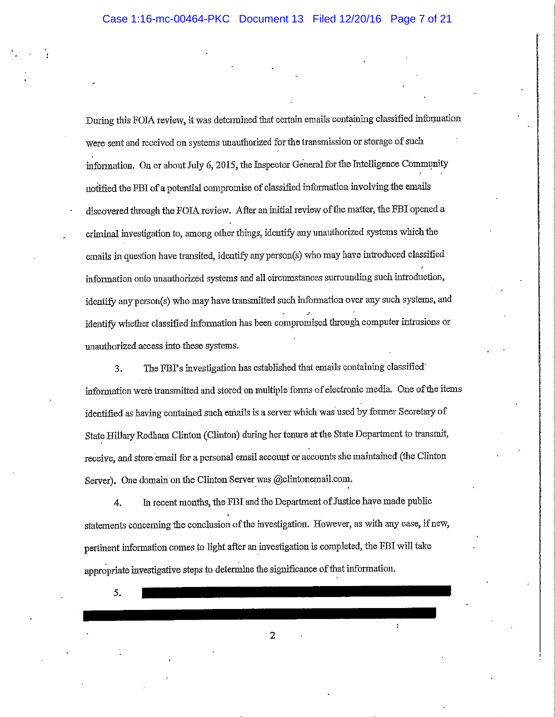During this FOIA review, it was determined that certain emails containing classified information were sent and received on systems unauthorized for the transmission or storage of such information. On or about July 6, 2015, the Inspector General for the Intelligence Community notified the FBI of a potential compromise of classified information involving the emails discovered through the FOIA review. After an initial review of the matter, the FBI opened a criminal investigation to, among other things, identify any unauthorized systems which the emails in question have transited, identify any person(s) who may have introduced classified information onto unauthorized systems and all circumstances surrounding such introduction, identify any person(s) who may have transmitted such information over any such systems, and identify whether classified information has been compromised through computer intrusions or unauthorized access into these systems.

The FBI's investigation has established that emails containing classified  $3<sub>1</sub>$ information were transmitted and stored on multiple forms of electronic media. One of the items identified as having contained such emails is a server which was used by former Secretary of State Hillary Rodham Clinton (Clinton) during her tenure at the State Department to transmit, receive, and store email for a personal email account or accounts she maintained (the Clinton Server). One domain on the Clinton Server was @clintonemail.com.

In recent months, the FBI and the Department of Justice have made public 4. statements concerning the conclusion of the investigation. However, as with any case, if new, pertinent information comes to light after an investigation is completed, the FBI will take appropriate investigative steps to determine the significance of that information.

5.

 $\overline{2}$ 

 $\mathbf{1}$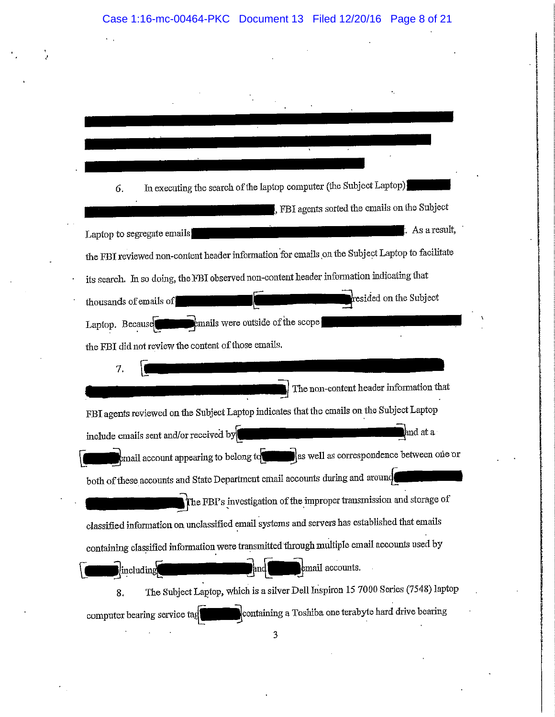# Case 1:16-mc-00464-PKC Document 13 Filed 12/20/16 Page 8 of 21

In executing the search of the laptop computer (the Subject Laptop) 6. FBI agents sorted the emails on the Subject : As a result, Laptop to segregate emails the FBI reviewed non-content header information for emails on the Subject Laptop to facilitate its search. In so doing, the FBI observed non-content header information indicating that resided on the Subject thousands of emails of emails were outside of the scope] Laptop. Because the FBI did not review the content of those emails. 7. The non-content header information that FBI agents reviewed on the Subject Laptop indicates that the emails on the Subject Laptop and at a include emails sent and/or received by email account appearing to belong to the state of as well as correspondence between one or both of these accounts and State Department email accounts during and around The FBI's investigation of the improper transmission and storage of classified information on unclassified email systems and servers has established that emails containing classified information were transmitted through multiple email accounts used by email accounts. including The Subject Laptop, which is a silver Dell Inspiron 15 7000 Series (7548) laptop 8. containing a Toshiba one terabyte hard drive bearing computer bearing service tag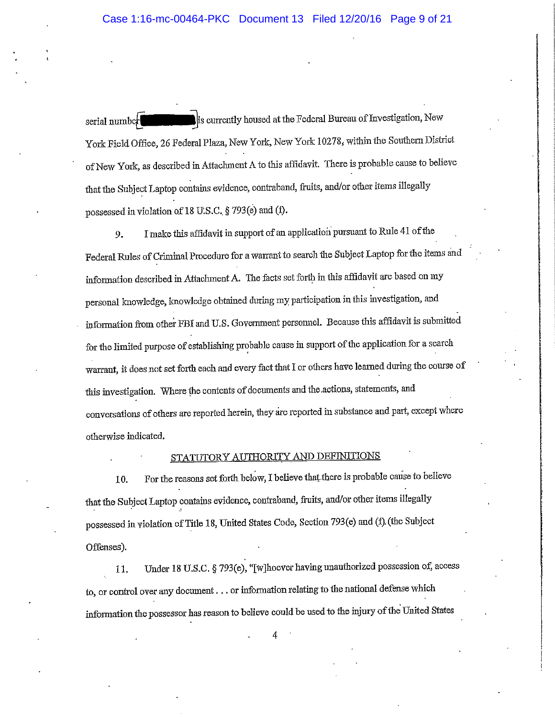is currently housed at the Federal Bureau of Investigation, New serial number York Field Office, 26 Federal Plaza, New York, New York 10278, within the Southern District of New York, as described in Attachment A to this affidavit. There is probable cause to believe that the Subject Laptop contains evidence, contraband, fruits, and/or other items illegally possessed in violation of 18 U.S.C. § 793(e) and (f).

I make this affidavit in support of an application pursuant to Rule 41 of the 9. Federal Rules of Criminal Procedure for a warrant to search the Subject Laptop for the items and information described in Attachment A. The facts set forth in this affidavit are based on my personal knowledge, knowledge obtained during my participation in this investigation, and information from other FBI and U.S. Government personnel. Because this affidavit is submitted for the limited purpose of establishing probable cause in support of the application for a search warrant, it does not set forth each and every fact that I or others have learned during the course of this investigation. Where the contents of documents and the actions, statements, and conversations of others are reported herein, they are reported in substance and part, except where otherwise indicated.

# STATUTORY AUTHORITY AND DEFINITIONS

For the reasons set forth below, I believe that there is probable cause to believe 10. that the Subject Laptop contains evidence, contraband, fruits, and/or other items illegally possessed in violation of Title 18, United States Code, Section 793(e) and (f) (the Subject Offenses).

Under 18 U.S.C. § 793(e), "[w]hoever having unauthorized possession of, access 11. to, or control over any document . . . or information relating to the national defense which information the possessor has reason to believe could be used to the injury of the United States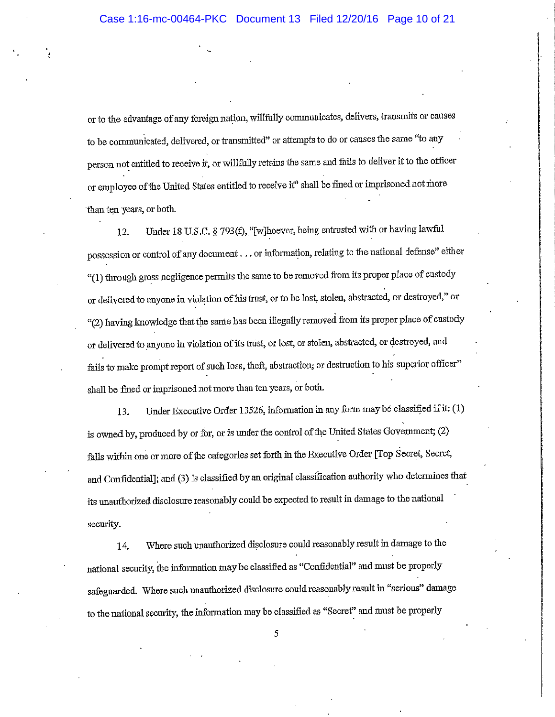or to the advantage of any foreign nation, willfully communicates, delivers, transmits or causes to be communicated, delivered, or transmitted" or attempts to do or causes the same "to any person not entitled to receive it, or willfully retains the same and fails to deliver it to the officer or employee of the United States entitled to receive it" shall be fined or imprisoned not more than ten years, or both.

Under 18 U.S.C. § 793(f), "[w]hoever, being entrusted with or having lawful 12. possession or control of any document . . . or information, relating to the national defense" either "(1) through gross negligence permits the same to be removed from its proper place of custody or delivered to anyone in violation of his trust, or to be lost, stolen, abstracted, or destroyed," or "(2) having knowledge that the same has been illegally removed from its proper place of custody or delivered to anyone in violation of its trust, or lost, or stolen, abstracted, or destroyed, and fails to make prompt report of such loss, theft, abstraction, or destruction to his superior officer" shall be fined or imprisoned not more than ten years, or both.

Under Executive Order 13526, information in any form may be classified if it: (1) 13. is owned by, produced by or for, or is under the control of the United States Government; (2) falls within one or more of the categories set forth in the Executive Order [Top Secret, Secret, and Confidential]; and (3) is classified by an original classification authority who determines that its unauthorized disclosure reasonably could be expected to result in damage to the national security.

Where such unauthorized disclosure could reasonably result in damage to the 14. national security, the information may be classified as "Confidential" and must be properly safeguarded. Where such unauthorized disclosure could reasonably result in "serious" damage to the national security, the information may be classified as "Secret" and must be properly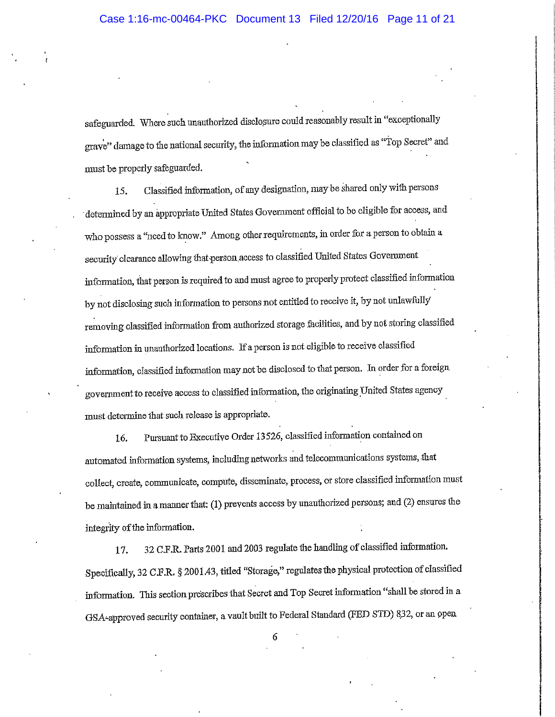safeguarded. Where such unauthorized disclosure could reasonably result in "exceptionally grave" damage to the national security, the information may be classified as "Top Secret" and must be properly safeguarded.

Classified information, of any designation, may be shared only with persons 15. determined by an appropriate United States Government official to be eligible for access, and who possess a "need to know." Among other requirements, in order for a person to obtain a security clearance allowing that person access to classified United States Government information, that person is required to and must agree to properly protect classified information by not disclosing such information to persons not entitled to receive it, by not unlawfully removing classified information from authorized storage facilities, and by not storing classified information in unauthorized locations. If a person is not eligible to receive classified information, classified information may not be disclosed to that person. In order for a foreign government to receive access to classified information, the originating United States agency must determine that such release is appropriate.

Pursuant to Executive Order 13526, classified information contained on 16. automated information systems, including networks and telecommunications systems, that collect, create, communicate, compute, disseminate, process, or store classified information must be maintained in a manner that: (1) prevents access by unauthorized persons; and (2) ensures the integrity of the information.

32 C.F.R. Parts 2001 and 2003 regulate the handling of classified information. 17. Specifically, 32 C.F.R. § 2001.43, titled "Storage," regulates the physical protection of classified information. This section prescribes that Secret and Top Secret information "shall be stored in a GSA-approved security container, a vault built to Federal Standard (FED STD) 832, or an open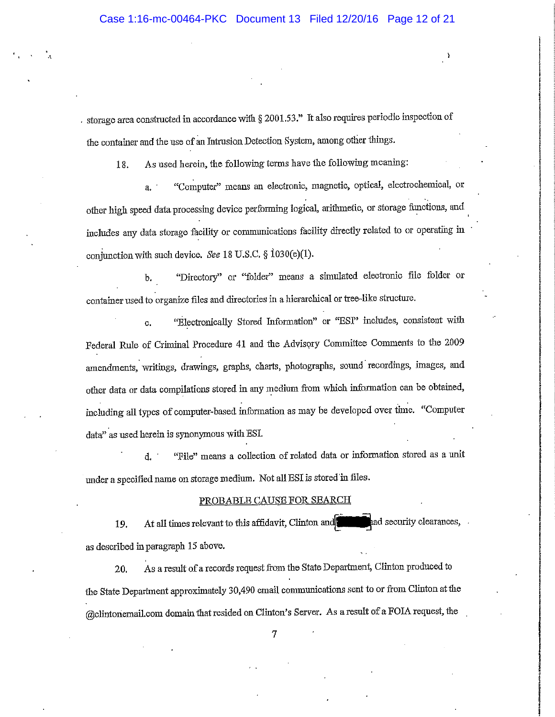$\lambda$ 

storage area constructed in accordance with  $\S 2001.53$ ." It also requires periodic inspection of the container and the use of an Intrusion Detection System, among other things.

As used herein, the following terms have the following meaning: 18.

"Computer" means an electronic, magnetic, optical, electrochemical, or  $\overline{a}$ . other high speed data processing device performing logical, arithmetic, or storage functions, and includes any data storage facility or communications facility directly related to or operating in conjunction with such device. See 18 U.S.C.  $\S$  1030(e)(1).

"Directory" or "folder" means a simulated electronic file folder or Ъ. container used to organize files and directories in a hierarchical or tree-like structure.

"Electronically Stored Information" or "ESI" includes, consistent with  $\mathbf{c}$ . Federal Rule of Criminal Procedure 41 and the Advisory Committee Comments to the 2009 amendments, writings, drawings, graphs, charts, photographs, sound recordings, images, and other data or data compilations stored in any medium from which information can be obtained, including all types of computer-based information as may be developed over time. "Computer data" as used herein is synonymous with ESI.

"File" means a collection of related data or information stored as a unit d. ' under a specified name on storage medium. Not all ESI is stored in files.

### PROBABLE CAUSE FOR SEARCH

At all times relevant to this affidavit, Clinton and ad security clearances, . 19. as described in paragraph 15 above.

As a result of a records request from the State Department, Clinton produced to 20, the State Department approximately 30,490 email communications sent to or from Clinton at the (a)clintonemail.com domain that resided on Clinton's Server. As a result of a FOIA request, the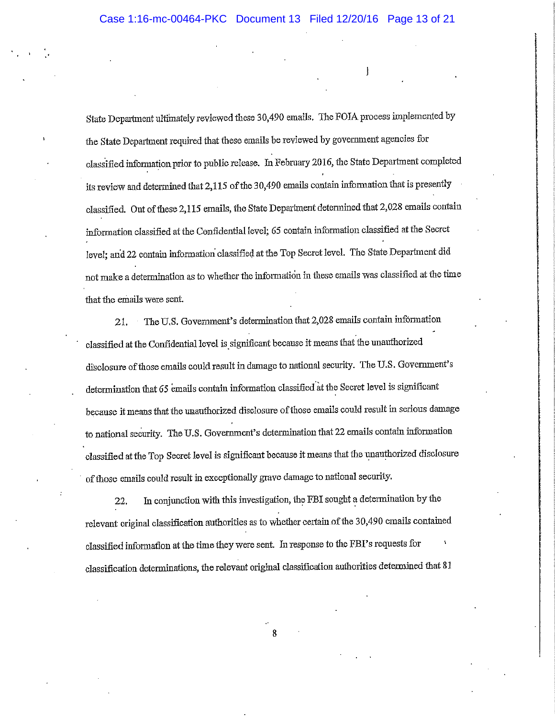State Department ultimately reviewed these 30,490 emails. The FOIA process implemented by the State Department required that these emails be reviewed by government agencies for classified information prior to public release. In February 2016, the State Department completed its review and determined that 2,115 of the 30,490 emails contain information that is presently classified. Out of these 2,115 emails, the State Department determined that 2,028 emails contain information classified at the Confidential level; 65 contain information classified at the Secret level; and 22 contain information classified at the Top Secret level. The State Department did not make a determination as to whether the information in these emails was classified at the time that the emails were sent.

The U.S. Government's determination that 2,028 emails contain information 21. classified at the Confidential level is significant because it means that the unauthorized disclosure of those emails could result in damage to national security. The U.S. Government's determination that 65 emails contain information classified at the Secret level is significant because it means that the unauthorized disclosure of those emails could result in serious damage to national security. The U.S. Government's determination that 22 emails contain information classified at the Top Secret level is significant because it means that the unauthorized disclosure of those emails could result in exceptionally grave damage to national security.

In conjunction with this investigation, the FBI sought a determination by the 22. relevant original classification authorities as to whether certain of the 30,490 emails contained classified information at the time they were sent. In response to the FBI's requests for classification determinations, the relevant original classification authorities determined that 81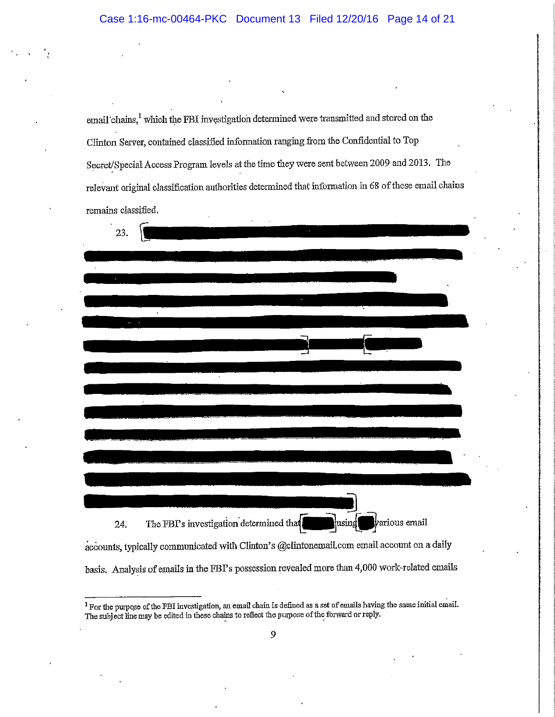email chains,<sup>1</sup> which the FBI investigation determined were transmitted and stored on the Clinton Server, contained classified information ranging from the Confidential to Top Secret/Special Access Program levels at the time they were sent between 2009 and 2013. The relevant original classification authorities determined that information in 68 of these email chains remains classified.

| 23.                                                                                            |
|------------------------------------------------------------------------------------------------|
|                                                                                                |
|                                                                                                |
|                                                                                                |
|                                                                                                |
|                                                                                                |
|                                                                                                |
|                                                                                                |
|                                                                                                |
|                                                                                                |
|                                                                                                |
|                                                                                                |
|                                                                                                |
|                                                                                                |
|                                                                                                |
|                                                                                                |
|                                                                                                |
|                                                                                                |
|                                                                                                |
|                                                                                                |
|                                                                                                |
| The FBI's investigation determined that<br>various email<br>using<br>24.                       |
| accounts, typically communicated with Clinton's @clintonemail.com email account on a daily     |
| basis. Analysis of emails in the FBI's possession revealed more than 4,000 work-related emails |

<sup>&</sup>lt;sup>1</sup> For the purpose of the FBI investigation, an email chain is defined as a set of emails having the same initial email. The subject line may be edited in these chains to reflect the purpose of the forward or reply.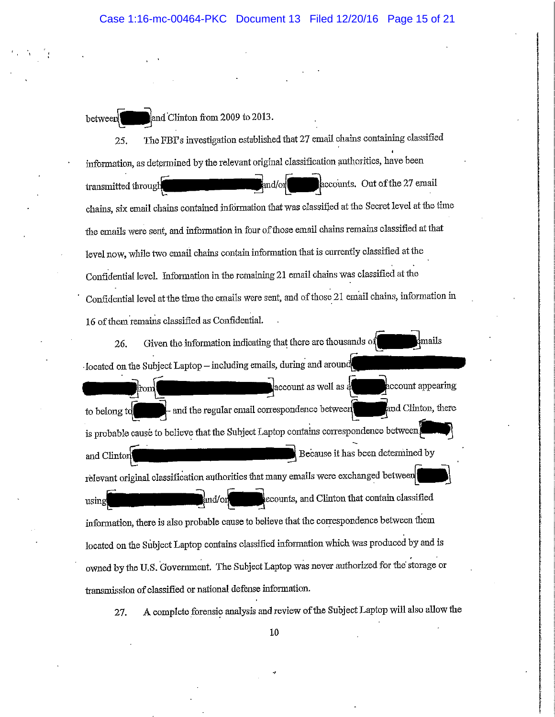and Clinton from 2009 to 2013. between

The FBI's investigation established that 27 email chains containing classified 25. information, as determined by the relevant original classification authorities, have been accounts. Out of the 27 email and/or transmitted through chains, six email chains contained information that was classified at the Secret level at the time the emails were sent, and information in four of those email chains remains classified at that level now, while two email chains contain information that is currently classified at the Confidential level. Information in the remaining 21 email chains was classified at the Confidential level at the time the emails were sent, and of those 21 email chains, information in 16 of them remains classified as Confidential.

 $_{\rm mails}$ Given the information indicating that there are thousands of 26. located on the Subject Laptop – including emails, during and around

account appearing account as well as a from and Clinton, there - and the regular email correspondence between to belong to is probable cause to believe that the Subject Laptop contains correspondence between Because it has been determined by and Clintor relevant original classification authorities that many emails were exchanged between ecounts, and Clinton that contain classified and/oi using information, there is also probable cause to believe that the correspondence between them located on the Subject Laptop contains classified information which was produced by and is owned by the U.S. Government. The Subject Laptop was never authorized for the storage or transmission of classified or national defense information.

A complete forensic analysis and review of the Subject Laptop will also allow the 27.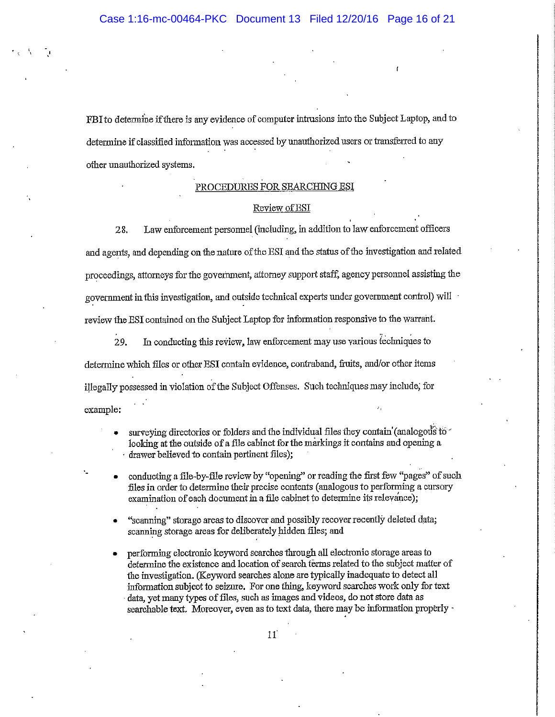FBI to determine if there is any evidence of computer intrusions into the Subject Laptop, and to determine if classified information was accessed by unauthorized users or transferred to any other unauthorized systems.

# PROCEDURES FOR SEARCHING ESI

### Review of ESI

Law enforcement personnel (including, in addition to law enforcement officers 28. and agents, and depending on the nature of the ESI and the status of the investigation and related proceedings, attorneys for the government, attorney support staff, agency personnel assisting the government in this investigation, and outside technical experts under government control) will review the ESI contained on the Subject Laptop for information responsive to the warrant.

In conducting this review, law enforcement may use various techniques to 29. determine which files or other ESI contain evidence, contraband, fruits, and/or other items illegally possessed in violation of the Subject Offenses. Such techniques may include, for example:

- surveying directories or folders and the individual files they contain (analogous to looking at the outside of a file cabinet for the markings it contains and opening a drawer believed to contain pertinent files);
- conducting a file-by-file review by "opening" or reading the first few "pages" of such files in order to determine their precise contents (analogous to performing a cursory examination of each document in a file cabinet to determine its relevance);
- "scanning" storage areas to discover and possibly recover recently deleted data; scanning storage areas for deliberately hidden files; and
- performing electronic keyword searches through all electronic storage areas to determine the existence and location of search terms related to the subject matter of the investigation. (Keyword searches alone are typically inadequate to detect all information subject to seizure. For one thing, keyword searches work only for text data, yet many types of files, such as images and videos, do not store data as searchable text. Moreover, even as to text data, there may be information properly -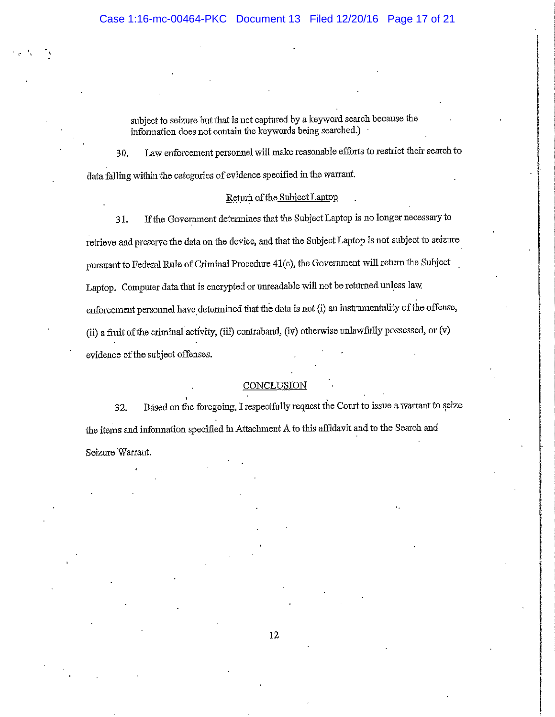subject to seizure but that is not captured by a keyword search because the information does not contain the keywords being searched.)

Law enforcement personnel will make reasonable efforts to restrict their search to 30. data falling within the categories of evidence specified in the warrant.

### Return of the Subject Lapton

If the Government determines that the Subject Laptop is no longer necessary to 31. retrieve and preserve the data on the device, and that the Subject Laptop is not subject to seizure pursuant to Federal Rule of Criminal Procedure 41(c), the Government will return the Subject Laptop. Computer data that is encrypted or unreadable will not be returned unless law enforcement personnel have determined that the data is not (i) an instrumentality of the offense, (ii) a fruit of the criminal activity, (iii) contraband, (iv) otherwise unlawfully possessed, or (v) evidence of the subject offenses.

# CONCLUSION

Based on the foregoing, I respectfully request the Court to issue a warrant to seize 32. the items and information specified in Attachment A to this affidavit and to the Search and Seizure Warrant.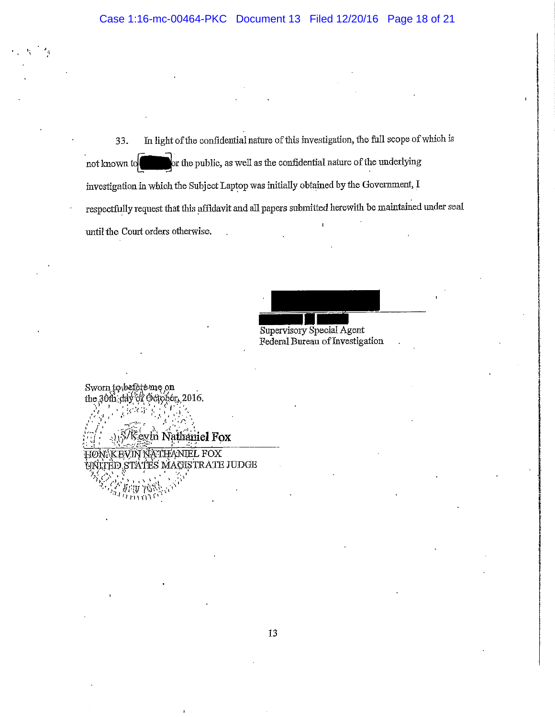33. In light of the confidential nature of this investigation, the full scope of which is or the public, as well as the confidential nature of the underlying not known to investigation in which the Subject Laptop was initially obtained by the Government, I respectfully request that this affidavit and all papers submitted herewith be maintained under seal until the Court orders otherwise.

Supervisory Special Agent Federal Bureau of Investigation

Sworn to befete me on the 30th  $\frac{dy}{dx}$  of October, 2016. Keyln Nathaniel Fox HØN KEVIN NATHANIEL FOX ITED STATES MAGISTRATE JUDGE

minu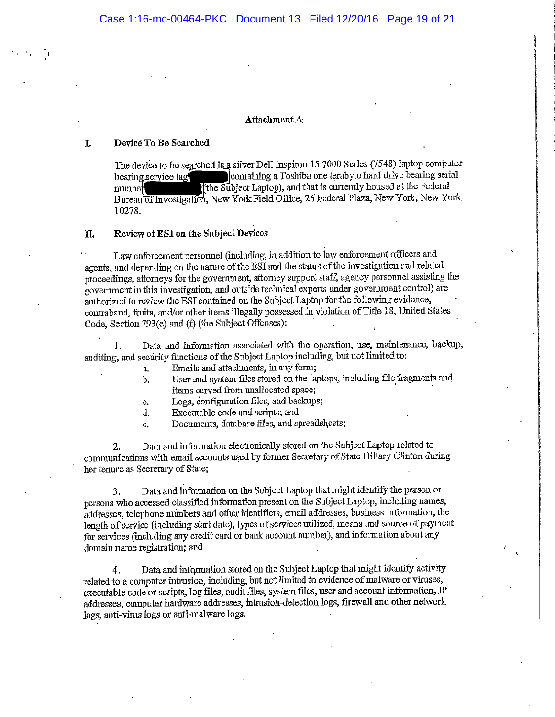### Attachment A

#### T. Device To Be Searched

The device to be searched is a silver Dell Inspiron 15 7000 Series (7548) laptop computer containing a Toshiba one terabyte hard drive bearing serial bearing service tag The Subject Laptop), and that is currently housed at the Federal number Bureau of Investigation, New York Field Office, 26 Federal Plaza, New York, New York 10278.

### Review of ESI on the Subject Devices **II.**

Law enforcement personnel (including, in addition to law enforcement officers and agents, and depending on the nature of the ESI and the status of the investigation and related proceedings, attorneys for the government, attorney support staff, agency personnel assisting the government in this investigation, and outside technical experts under government control) are authorized to review the ESI contained on the Subject Laptop for the following evidence, contraband, fruits, and/or other items illegally possessed in violation of Title 18, United States Code, Section 793(e) and (f) (the Subject Offenses):

Data and information associated with the operation, use, maintenance, backup, 1. auditing, and security functions of the Subject Laptop including, but not limited to:

- Emails and attachments, in any form; a.
- User and system files stored on the laptops, including file fragments and b. items carved from unallocated space:
- Logs, configuration files, and backups; c.
- Executable code and scripts; and d.
- Documents, database files, and spreadsheets:  $\mathbf{e}$ .

Data and information electronically stored on the Subject Laptop related to 2. communications with email accounts used by former Secretary of State Hillary Clinton during her tenure as Secretary of State;

Data and information on the Subject Laptop that might identify the person or 3. persons who accessed classified information present on the Subject Laptop, including names, addresses, telephone numbers and other identifiers, email addresses, business information, the length of service (including start date), types of services utilized, means and source of payment for services (including any credit card or bank account number), and information about any domain name registration; and

Data and information stored on the Subject Laptop that might identify activity  $4.$ related to a computer intrusion, including, but not limited to evidence of malware or viruses, executable code or scripts, log files, audit files, system files, user and account information, IP addresses, computer hardware addresses, intrusion-detection logs, firewall and other network logs, anti-virus logs or anti-malware logs.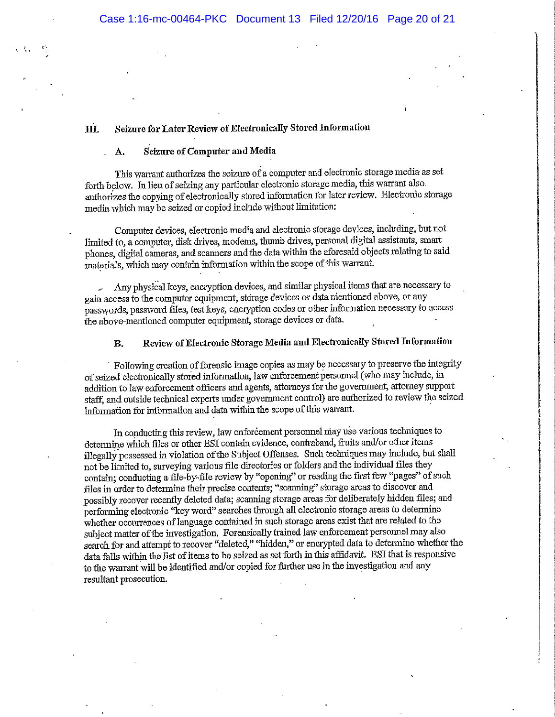### Seizure for Later Review of Electronically Stored Information III.

#### Seizure of Computer and Media Α.

This warrant authorizes the seizure of a computer and electronic storage media as set forth below. In lieu of seizing any particular electronic storage media, this warrant also. authorizes the copying of electronically stored information for later review. Electronic storage media which may be seized or copied include without limitation:

Computer devices, electronic media and electronic storage devices, including, but not limited to, a computer, disk drives, modems, thumb drives, personal digital assistants, smart phones, digital cameras, and scanners and the data within the aforesaid objects relating to said materials, which may contain information within the scope of this warrant.

Any physical keys, encryption devices, and similar physical items that are necessary to gain access to the computer equipment, storage devices or data mentioned above, or any passwords, password files, test keys, encryption codes or other information necessary to access the above-mentioned computer equipment, storage devices or data.

### Review of Electronic Storage Media and Electronically Stored Information **B.**

Following creation of forensic image copies as may be necessary to preserve the integrity of seized electronically stored information, law enforcement personnel (who may include, in addition to law enforcement officers and agents, attorneys for the government, attorney support staff, and outside technical experts under government control) are authorized to review the seized information for information and data within the scope of this warrant.

In conducting this review, law enforcement personnel may use various techniques to determine which files or other ESI contain evidence, contraband, fruits and/or other items illegally possessed in violation of the Subject Offenses. Such techniques may include, but shall not be limited to, surveying various file directories or folders and the individual files they contain; conducting a file-by-file review by "opening" or reading the first few "pages" of such files in order to determine their precise contents; "scanning" storage areas to discover and possibly recover recently deleted data; scanning storage areas for deliberately hidden files; and performing electronic "key word" searches through all electronic storage areas to determine whether occurrences of language contained in such storage areas exist that are related to the subject matter of the investigation. Forensically trained law enforcement personnel may also search for and attempt to recover "deleted," "hidden," or encrypted data to determine whether the data falls within the list of items to be seized as set forth in this affidavit. ESI that is responsive to the warrant will be identified and/or copied for further use in the investigation and any resultant prosecution.